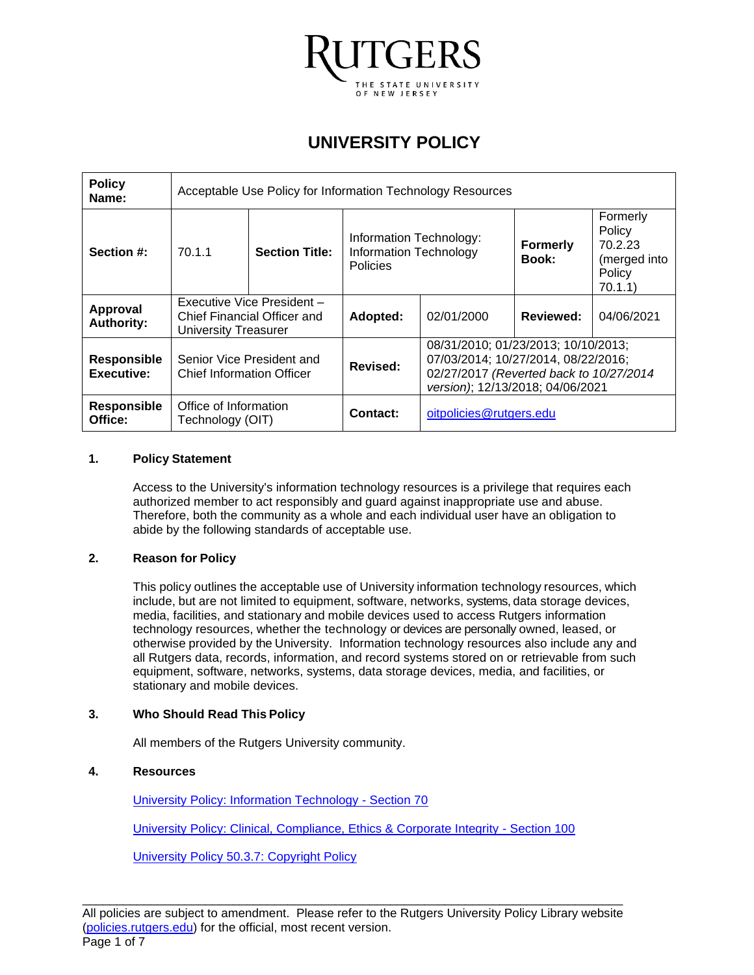

# **UNIVERSITY POLICY**

| <b>Policy</b><br>Name:           | Acceptable Use Policy for Information Technology Resources                        |                           |                                                               |                                                                                                                                                           |                          |                                                                    |
|----------------------------------|-----------------------------------------------------------------------------------|---------------------------|---------------------------------------------------------------|-----------------------------------------------------------------------------------------------------------------------------------------------------------|--------------------------|--------------------------------------------------------------------|
| Section #:                       | 70.1.1                                                                            | <b>Section Title:</b>     | Information Technology:<br>Information Technology<br>Policies |                                                                                                                                                           | <b>Formerly</b><br>Book: | Formerly<br>Policy<br>70.2.23<br>(merged into<br>Policy<br>70.1.1) |
| Approval<br><b>Authority:</b>    | Executive Vice President -<br>Chief Financial Officer and<br>University Treasurer |                           | Adopted:                                                      | 02/01/2000                                                                                                                                                | Reviewed:                | 04/06/2021                                                         |
| <b>Responsible</b><br>Executive: | <b>Chief Information Officer</b>                                                  | Senior Vice President and | Revised:                                                      | 08/31/2010; 01/23/2013; 10/10/2013;<br>07/03/2014; 10/27/2014, 08/22/2016;<br>02/27/2017 (Reverted back to 10/27/2014<br>version); 12/13/2018; 04/06/2021 |                          |                                                                    |
| <b>Responsible</b><br>Office:    | Office of Information<br>Technology (OIT)                                         |                           | Contact:                                                      | oitpolicies@rutgers.edu                                                                                                                                   |                          |                                                                    |

#### **1. Policy Statement**

Access to the University's information technology resources is a privilege that requires each authorized member to act responsibly and guard against inappropriate use and abuse. Therefore, both the community as a whole and each individual user have an obligation to abide by the following standards of acceptable use.

#### **2. Reason for Policy**

This policy outlines the acceptable use of University information technology resources, which include, but are not limited to equipment, software, networks, systems, data storage devices, media, facilities, and stationary and mobile devices used to access Rutgers information technology resources, whether the technology or devices are personally owned, leased, or otherwise provided by the University. Information technology resources also include any and all Rutgers data, records, information, and record systems stored on or retrievable from such equipment, software, networks, systems, data storage devices, media, and facilities, or stationary and mobile devices.

#### **3. Who Should Read This Policy**

All members of the Rutgers University community.

#### **4. Resources**

[University Policy: Information Technology -](https://policies.rutgers.edu/view-policies/information-technology-%E2%80%93-section-70) Section 70

[University Policy: Clinical, Compliance, Ethics & Corporate Integrity -](https://policies.rutgers.edu/view-policies/clinical-compliance-ethics-corporate-integrity-section-100) Section 100

[University Policy 50.3.7: Copyright Policy](https://policies.rutgers.edu/sites/default/files/50.3.7-current.pdf)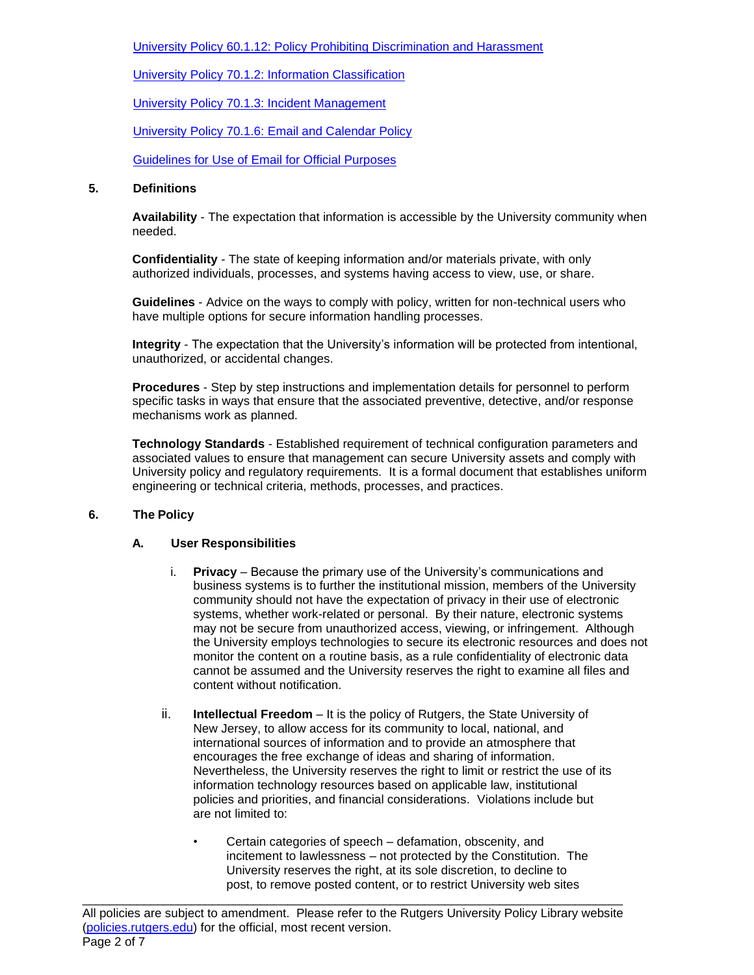[University Policy 60.1.12: Policy Prohibiting Discrimination and Harassment](https://policies.rutgers.edu/60112-currentpdf)

[University Policy 70.1.2: Information Classification](https://policies.rutgers.edu/7012-currentpdf)

[University Policy 70.1.3: Incident Management](https://policies.rutgers.edu/7013-currentpdf)

[University Policy 70.1.6: Email and Calendar Policy](https://policies.rutgers.edu/70-1-6-currentpdf)

Guidelines for Use of [Email for Official Purposes](https://oit.rutgers.edu/official-email)

#### **5. Definitions**

**Availability** - The expectation that information is accessible by the University community when needed.

**Confidentiality** - The state of keeping information and/or materials private, with only authorized individuals, processes, and systems having access to view, use, or share.

**Guidelines** - Advice on the ways to comply with policy, written for non-technical users who have multiple options for secure information handling processes.

**Integrity** - The expectation that the University's information will be protected from intentional, unauthorized, or accidental changes.

**Procedures** - Step by step instructions and implementation details for personnel to perform specific tasks in ways that ensure that the associated preventive, detective, and/or response mechanisms work as planned.

**Technology Standards** - Established requirement of technical configuration parameters and associated values to ensure that management can secure University assets and comply with University policy and regulatory requirements. It is a formal document that establishes uniform engineering or technical criteria, methods, processes, and practices.

# **6. The Policy**

#### **A. User Responsibilities**

- i. **Privacy** Because the primary use of the University's communications and business systems is to further the institutional mission, members of the University community should not have the expectation of privacy in their use of electronic systems, whether work-related or personal. By their nature, electronic systems may not be secure from unauthorized access, viewing, or infringement. Although the University employs technologies to secure its electronic resources and does not monitor the content on a routine basis, as a rule confidentiality of electronic data cannot be assumed and the University reserves the right to examine all files and content without notification.
- ii. **Intellectual Freedom** It is the policy of Rutgers, the State University of New Jersey, to allow access for its community to local, national, and international sources of information and to provide an atmosphere that encourages the free exchange of ideas and sharing of information. Nevertheless, the University reserves the right to limit or restrict the use of its information technology resources based on applicable law, institutional policies and priorities, and financial considerations. Violations include but are not limited to:
	- Certain categories of speech defamation, obscenity, and incitement to lawlessness – not protected by the Constitution. The University reserves the right, at its sole discretion, to decline to post, to remove posted content, or to restrict University web sites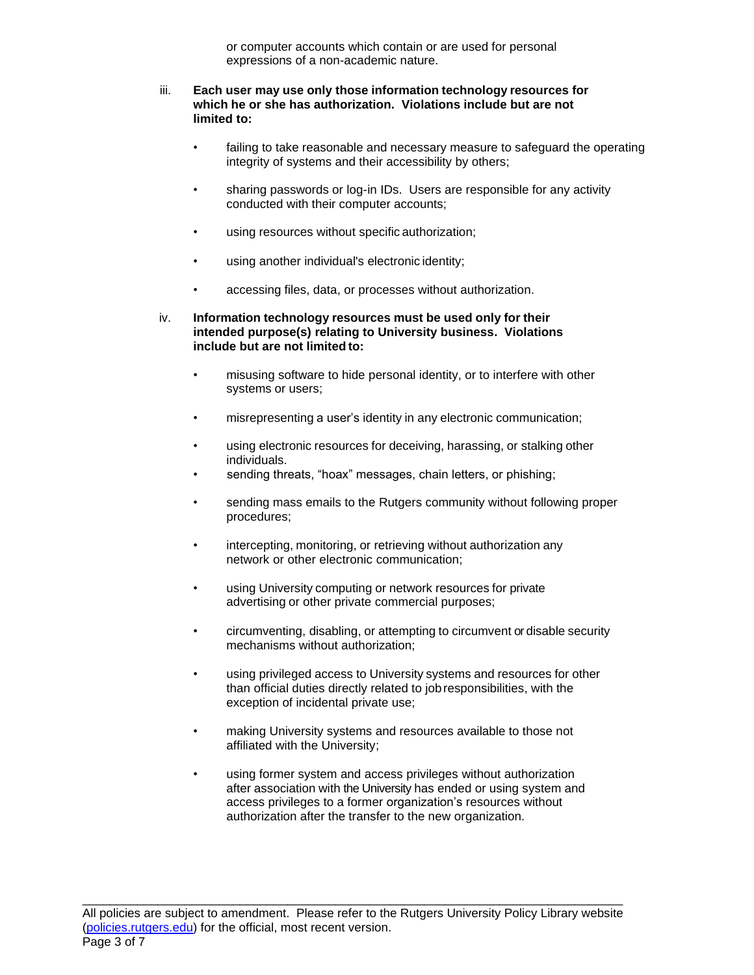or computer accounts which contain or are used for personal expressions of a non-academic nature.

#### iii. **Each user may use only those information technology resources for which he or she has authorization. Violations include but are not limited to:**

- failing to take reasonable and necessary measure to safeguard the operating integrity of systems and their accessibility by others;
- sharing passwords or log-in IDs. Users are responsible for any activity conducted with their computer accounts;
- using resources without specific authorization;
- using another individual's electronic identity;
- accessing files, data, or processes without authorization.
- iv. **Information technology resources must be used only for their intended purpose(s) relating to University business. Violations include but are not limited to:**
	- misusing software to hide personal identity, or to interfere with other systems or users;
	- misrepresenting a user's identity in any electronic communication;
	- using electronic resources for deceiving, harassing, or stalking other individuals.
	- sending threats, "hoax" messages, chain letters, or phishing;
	- sending mass emails to the Rutgers community without following proper procedures;
	- intercepting, monitoring, or retrieving without authorization any network or other electronic communication;
	- using University computing or network resources for private advertising or other private commercial purposes;
	- circumventing, disabling, or attempting to circumvent or disable security mechanisms without authorization;
	- using privileged access to University systems and resources for other than official duties directly related to jobresponsibilities, with the exception of incidental private use;
	- making University systems and resources available to those not affiliated with the University;
	- using former system and access privileges without authorization after association with the University has ended or using system and access privileges to a former organization's resources without authorization after the transfer to the new organization.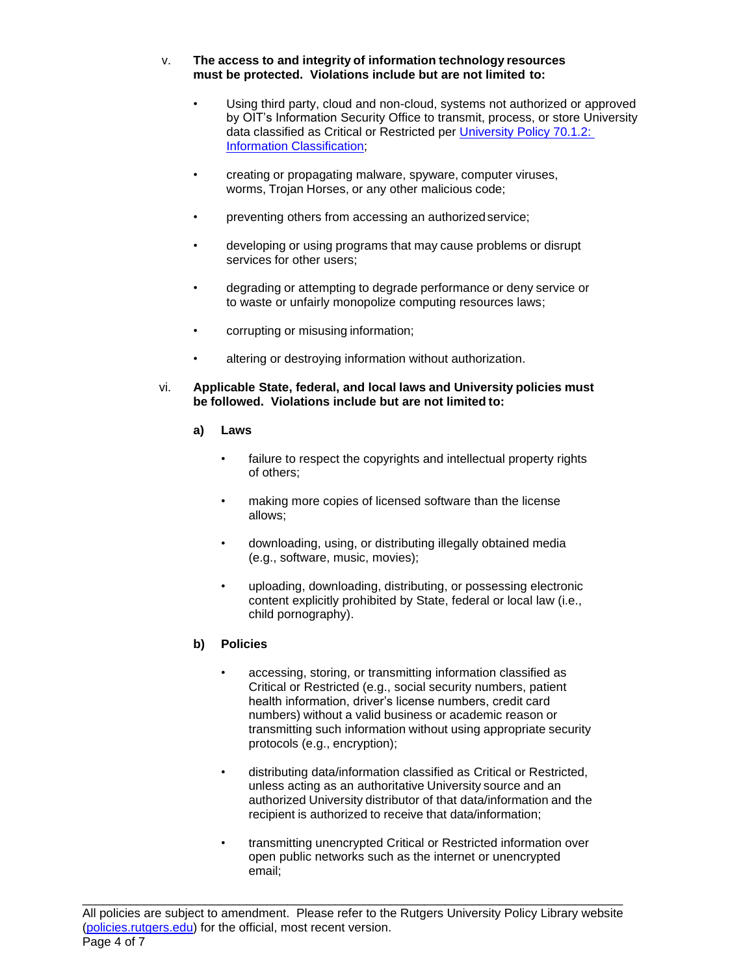### v. **The access to and integrity of information technology resources must be protected. Violations include but are not limited to:**

- Using third party, cloud and non-cloud, systems not authorized or approved by OIT's Information Security Office to transmit, process, or store University data classified as Critical or Restricted per [University Policy 70.1.2:](https://policies.rutgers.edu/7012-currentpdf)  [Information Classification;](https://policies.rutgers.edu/7012-currentpdf)
- creating or propagating malware, spyware, computer viruses, worms, Trojan Horses, or any other malicious code;
- preventing others from accessing an authorized service;
- developing or using programs that may cause problems or disrupt services for other users;
- degrading or attempting to degrade performance or deny service or to waste or unfairly monopolize computing resources laws;
- corrupting or misusing information;
- altering or destroying information without authorization.
- vi. **Applicable State, federal, and local laws and University policies must be followed. Violations include but are not limited to:**
	- **a) Laws**
		- failure to respect the copyrights and intellectual property rights of others;
		- making more copies of licensed software than the license allows;
		- downloading, using, or distributing illegally obtained media (e.g., software, music, movies);
		- uploading, downloading, distributing, or possessing electronic content explicitly prohibited by State, federal or local law (i.e., child pornography).

# **b) Policies**

- accessing, storing, or transmitting information classified as Critical or Restricted (e.g., social security numbers, patient health information, driver's license numbers, credit card numbers) without a valid business or academic reason or transmitting such information without using appropriate security protocols (e.g., encryption);
- distributing data/information classified as Critical or Restricted, unless acting as an authoritative University source and an authorized University distributor of that data/information and the recipient is authorized to receive that data/information;
- transmitting unencrypted Critical or Restricted information over open public networks such as the internet or unencrypted email;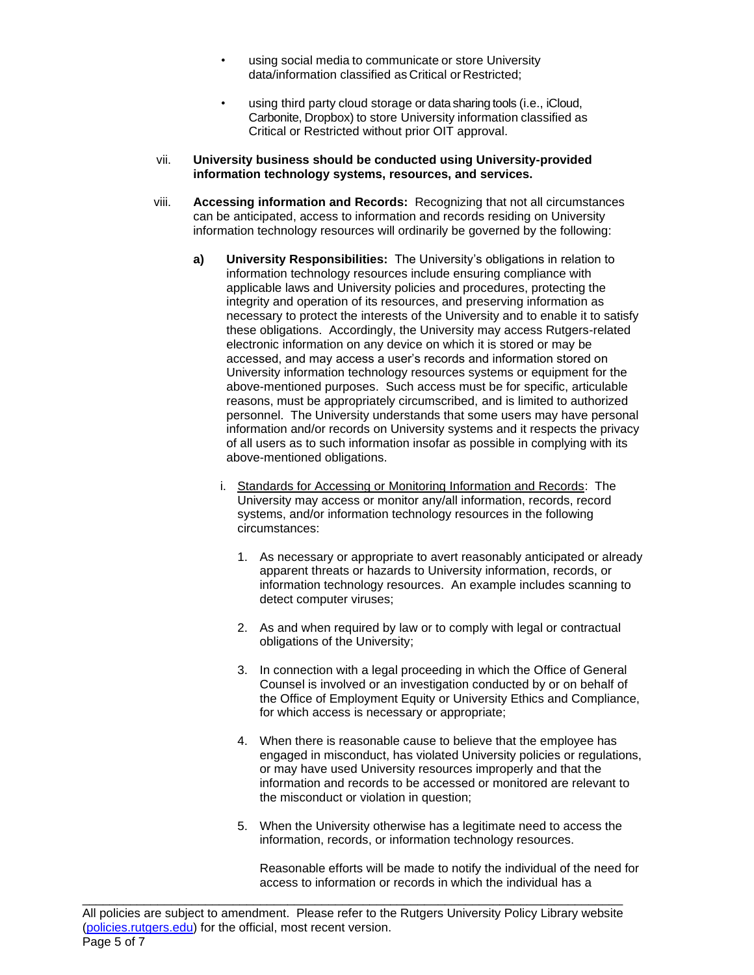- using social media to communicate or store University data/information classified as Critical or Restricted;
- using third party cloud storage or data sharing tools (i.e., iCloud, Carbonite, Dropbox) to store University information classified as Critical or Restricted without prior OIT approval.
- vii. **University business should be conducted using University-provided information technology systems, resources, and services.**
- viii. **Accessing information and Records:** Recognizing that not all circumstances can be anticipated, access to information and records residing on University information technology resources will ordinarily be governed by the following:
	- **a) University Responsibilities:** The University's obligations in relation to information technology resources include ensuring compliance with applicable laws and University policies and procedures, protecting the integrity and operation of its resources, and preserving information as necessary to protect the interests of the University and to enable it to satisfy these obligations. Accordingly, the University may access Rutgers-related electronic information on any device on which it is stored or may be accessed, and may access a user's records and information stored on University information technology resources systems or equipment for the above-mentioned purposes. Such access must be for specific, articulable reasons, must be appropriately circumscribed, and is limited to authorized personnel. The University understands that some users may have personal information and/or records on University systems and it respects the privacy of all users as to such information insofar as possible in complying with its above-mentioned obligations.
		- i. Standards for Accessing or Monitoring Information and Records: The University may access or monitor any/all information, records, record systems, and/or information technology resources in the following circumstances:
			- 1. As necessary or appropriate to avert reasonably anticipated or already apparent threats or hazards to University information, records, or information technology resources. An example includes scanning to detect computer viruses;
			- 2. As and when required by law or to comply with legal or contractual obligations of the University;
			- 3. In connection with a legal proceeding in which the Office of General Counsel is involved or an investigation conducted by or on behalf of the Office of Employment Equity or University Ethics and Compliance, for which access is necessary or appropriate;
			- 4. When there is reasonable cause to believe that the employee has engaged in misconduct, has violated University policies or regulations, or may have used University resources improperly and that the information and records to be accessed or monitored are relevant to the misconduct or violation in question;
			- 5. When the University otherwise has a legitimate need to access the information, records, or information technology resources.

Reasonable efforts will be made to notify the individual of the need for access to information or records in which the individual has a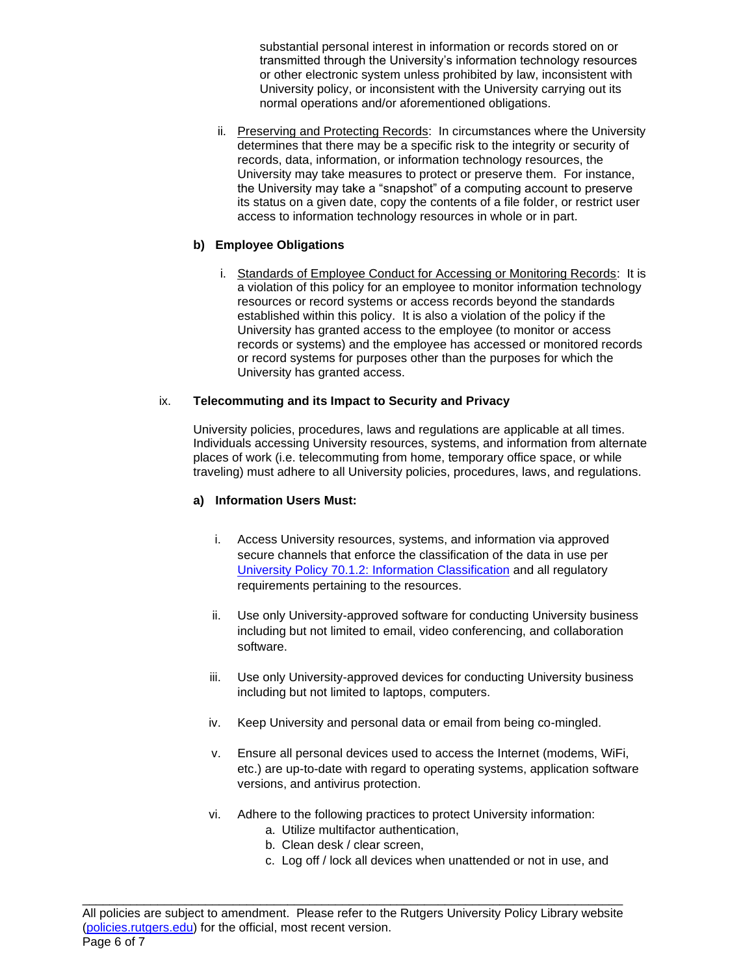substantial personal interest in information or records stored on or transmitted through the University's information technology resources or other electronic system unless prohibited by law, inconsistent with University policy, or inconsistent with the University carrying out its normal operations and/or aforementioned obligations.

ii. Preserving and Protecting Records: In circumstances where the University determines that there may be a specific risk to the integrity or security of records, data, information, or information technology resources, the University may take measures to protect or preserve them. For instance, the University may take a "snapshot" of a computing account to preserve its status on a given date, copy the contents of a file folder, or restrict user access to information technology resources in whole or in part.

# **b) Employee Obligations**

i. Standards of Employee Conduct for Accessing or Monitoring Records: It is a violation of this policy for an employee to monitor information technology resources or record systems or access records beyond the standards established within this policy. It is also a violation of the policy if the University has granted access to the employee (to monitor or access records or systems) and the employee has accessed or monitored records or record systems for purposes other than the purposes for which the University has granted access.

# ix. **Telecommuting and its Impact to Security and Privacy**

University policies, procedures, laws and regulations are applicable at all times. Individuals accessing University resources, systems, and information from alternate places of work (i.e. telecommuting from home, temporary office space, or while traveling) must adhere to all University policies, procedures, laws, and regulations.

# **a) Information Users Must:**

- i. Access University resources, systems, and information via approved secure channels that enforce the classification of the data in use per [University Policy 70.1.2: Information Classification](https://policies.rutgers.edu/7012-currentpdf) and all regulatory requirements pertaining to the resources.
- ii. Use only University-approved software for conducting University business including but not limited to email, video conferencing, and collaboration software.
- iii. Use only University-approved devices for conducting University business including but not limited to laptops, computers.
- iv. Keep University and personal data or email from being co-mingled.
- v. Ensure all personal devices used to access the Internet (modems, WiFi, etc.) are up-to-date with regard to operating systems, application software versions, and antivirus protection.
- vi. Adhere to the following practices to protect University information:
	- a. Utilize multifactor authentication,
	- b. Clean desk / clear screen,
	- c. Log off / lock all devices when unattended or not in use, and